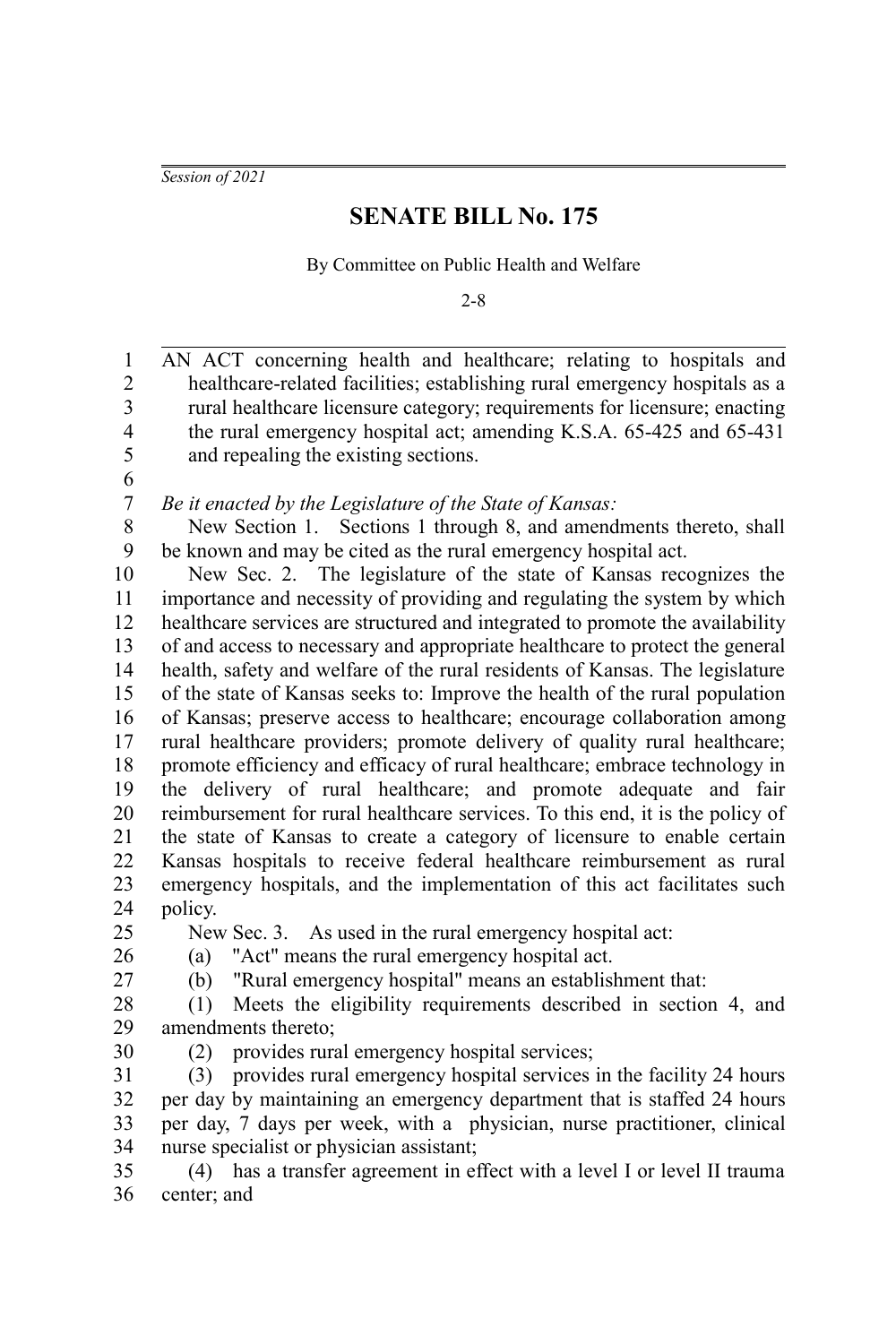*Session of 2021*

## **SENATE BILL No. 175**

By Committee on Public Health and Welfare

2-8

AN ACT concerning health and healthcare; relating to hospitals and healthcare-related facilities; establishing rural emergency hospitals as a rural healthcare licensure category; requirements for licensure; enacting the rural emergency hospital act; amending K.S.A. 65-425 and 65-431 and repealing the existing sections. *Be it enacted by the Legislature of the State of Kansas:* New Section 1. Sections 1 through 8, and amendments thereto, shall be known and may be cited as the rural emergency hospital act. New Sec. 2. The legislature of the state of Kansas recognizes the importance and necessity of providing and regulating the system by which healthcare services are structured and integrated to promote the availability of and access to necessary and appropriate healthcare to protect the general health, safety and welfare of the rural residents of Kansas. The legislature of the state of Kansas seeks to: Improve the health of the rural population of Kansas; preserve access to healthcare; encourage collaboration among rural healthcare providers; promote delivery of quality rural healthcare; promote efficiency and efficacy of rural healthcare; embrace technology in the delivery of rural healthcare; and promote adequate and fair reimbursement for rural healthcare services. To this end, it is the policy of the state of Kansas to create a category of licensure to enable certain Kansas hospitals to receive federal healthcare reimbursement as rural emergency hospitals, and the implementation of this act facilitates such policy. New Sec. 3. As used in the rural emergency hospital act: (a) "Act" means the rural emergency hospital act. (b) "Rural emergency hospital" means an establishment that: (1) Meets the eligibility requirements described in section 4, and amendments thereto; (2) provides rural emergency hospital services; (3) provides rural emergency hospital services in the facility 24 hours per day by maintaining an emergency department that is staffed 24 hours per day, 7 days per week, with a physician, nurse practitioner, clinical nurse specialist or physician assistant; (4) has a transfer agreement in effect with a level I or level II trauma center; and 1 2 3 4 5 6 7 8 9 10 11 12 13 14 15 16 17 18 19 20 21 22 23 24 25 26 27 28 29 30 31 32 33 34 35 36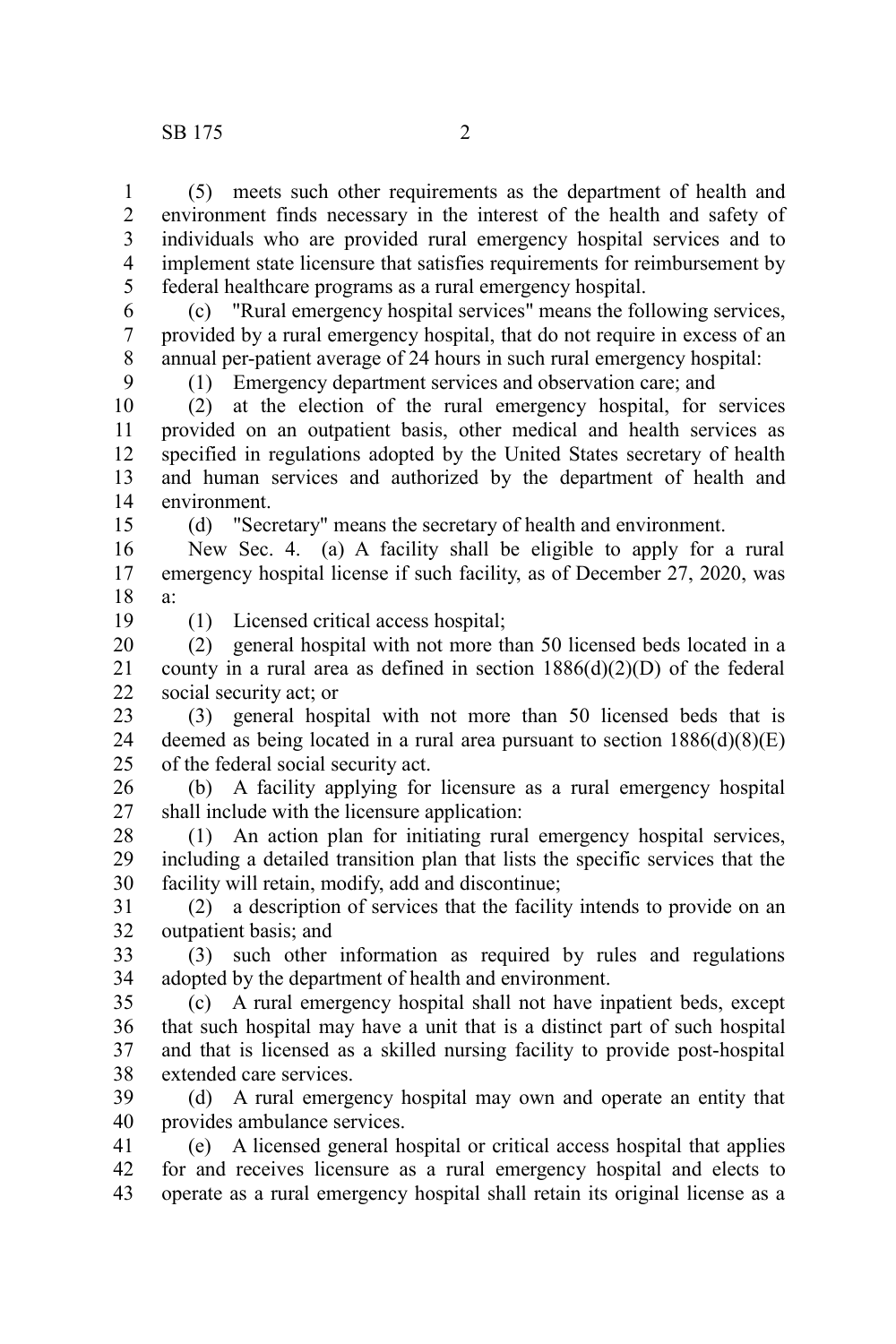(5) meets such other requirements as the department of health and environment finds necessary in the interest of the health and safety of individuals who are provided rural emergency hospital services and to implement state licensure that satisfies requirements for reimbursement by federal healthcare programs as a rural emergency hospital. 1 2 3 4 5

(c) "Rural emergency hospital services" means the following services, provided by a rural emergency hospital, that do not require in excess of an annual per-patient average of 24 hours in such rural emergency hospital: 6 7 8

(1) Emergency department services and observation care; and

(2) at the election of the rural emergency hospital, for services provided on an outpatient basis, other medical and health services as specified in regulations adopted by the United States secretary of health and human services and authorized by the department of health and environment. 10 11 12 13 14 15

(d) "Secretary" means the secretary of health and environment.

New Sec. 4. (a) A facility shall be eligible to apply for a rural emergency hospital license if such facility, as of December 27, 2020, was a: 16 17 18

19

9

(1) Licensed critical access hospital;

(2) general hospital with not more than 50 licensed beds located in a county in a rural area as defined in section  $1886(d)(2)(D)$  of the federal social security act; or 20 21 22

(3) general hospital with not more than 50 licensed beds that is deemed as being located in a rural area pursuant to section  $1886(d)(8)(E)$ of the federal social security act. 23 24 25

(b) A facility applying for licensure as a rural emergency hospital shall include with the licensure application: 26 27

(1) An action plan for initiating rural emergency hospital services, including a detailed transition plan that lists the specific services that the facility will retain, modify, add and discontinue; 28 29 30

(2) a description of services that the facility intends to provide on an outpatient basis; and 31 32

(3) such other information as required by rules and regulations adopted by the department of health and environment. 33 34

(c) A rural emergency hospital shall not have inpatient beds, except that such hospital may have a unit that is a distinct part of such hospital and that is licensed as a skilled nursing facility to provide post-hospital extended care services. 35 36 37 38

(d) A rural emergency hospital may own and operate an entity that provides ambulance services. 39 40

(e) A licensed general hospital or critical access hospital that applies for and receives licensure as a rural emergency hospital and elects to operate as a rural emergency hospital shall retain its original license as a 41 42 43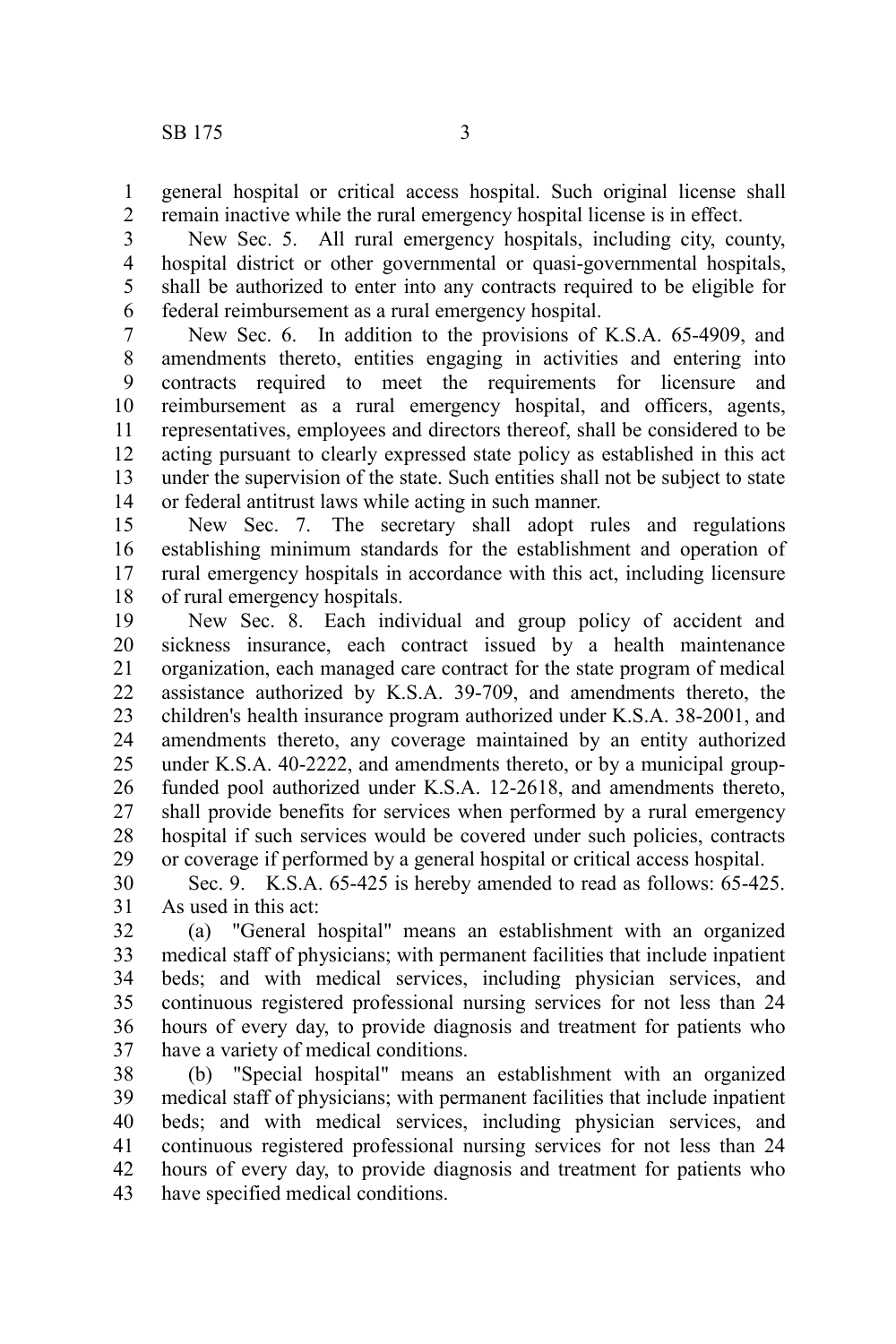general hospital or critical access hospital. Such original license shall remain inactive while the rural emergency hospital license is in effect. 1 2

New Sec. 5. All rural emergency hospitals, including city, county, hospital district or other governmental or quasi-governmental hospitals, shall be authorized to enter into any contracts required to be eligible for federal reimbursement as a rural emergency hospital. 3 4 5 6

New Sec. 6. In addition to the provisions of K.S.A. 65-4909, and amendments thereto, entities engaging in activities and entering into contracts required to meet the requirements for licensure and reimbursement as a rural emergency hospital, and officers, agents, representatives, employees and directors thereof, shall be considered to be acting pursuant to clearly expressed state policy as established in this act under the supervision of the state. Such entities shall not be subject to state or federal antitrust laws while acting in such manner. 7 8 9 10 11 12 13 14

New Sec. 7. The secretary shall adopt rules and regulations establishing minimum standards for the establishment and operation of rural emergency hospitals in accordance with this act, including licensure of rural emergency hospitals. 15 16 17 18

New Sec. 8. Each individual and group policy of accident and sickness insurance, each contract issued by a health maintenance organization, each managed care contract for the state program of medical assistance authorized by K.S.A. 39-709, and amendments thereto, the children's health insurance program authorized under K.S.A. 38-2001, and amendments thereto, any coverage maintained by an entity authorized under K.S.A. 40-2222, and amendments thereto, or by a municipal groupfunded pool authorized under K.S.A. 12-2618, and amendments thereto, shall provide benefits for services when performed by a rural emergency hospital if such services would be covered under such policies, contracts or coverage if performed by a general hospital or critical access hospital. 19 20 21 22 23 24 25 26 27 28 29

Sec. 9. K.S.A. 65-425 is hereby amended to read as follows: 65-425. As used in this act: 30 31

(a) "General hospital" means an establishment with an organized medical staff of physicians; with permanent facilities that include inpatient beds; and with medical services, including physician services, and continuous registered professional nursing services for not less than 24 hours of every day, to provide diagnosis and treatment for patients who have a variety of medical conditions. 32 33 34 35 36 37

(b) "Special hospital" means an establishment with an organized medical staff of physicians; with permanent facilities that include inpatient beds; and with medical services, including physician services, and continuous registered professional nursing services for not less than 24 hours of every day, to provide diagnosis and treatment for patients who have specified medical conditions. 38 39 40 41 42 43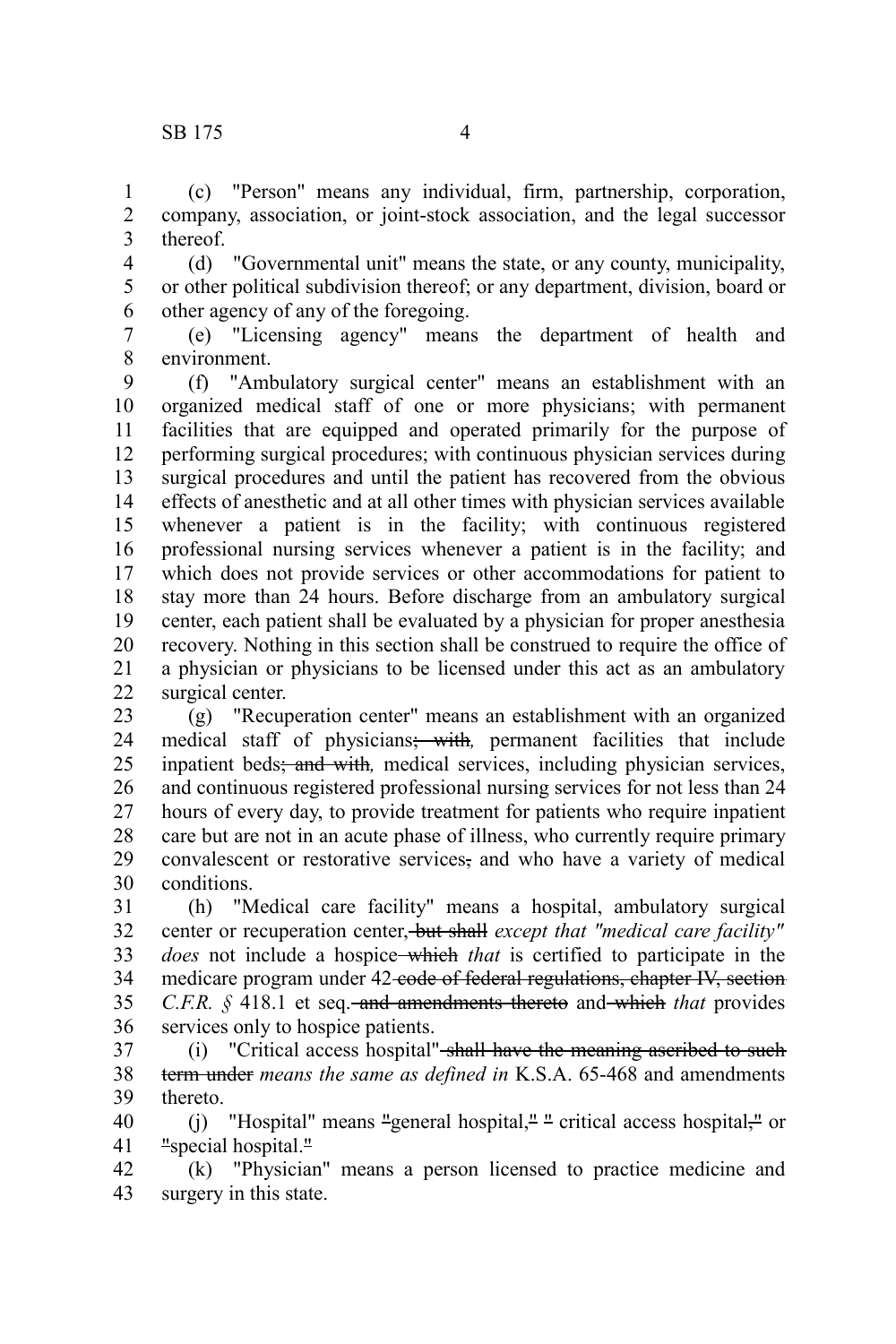(c) "Person" means any individual, firm, partnership, corporation, company, association, or joint-stock association, and the legal successor thereof. 1 2 3

(d) "Governmental unit" means the state, or any county, municipality, or other political subdivision thereof; or any department, division, board or other agency of any of the foregoing. 4 5 6

(e) "Licensing agency" means the department of health and environment. 7 8

(f) "Ambulatory surgical center" means an establishment with an organized medical staff of one or more physicians; with permanent facilities that are equipped and operated primarily for the purpose of performing surgical procedures; with continuous physician services during surgical procedures and until the patient has recovered from the obvious effects of anesthetic and at all other times with physician services available whenever a patient is in the facility; with continuous registered professional nursing services whenever a patient is in the facility; and which does not provide services or other accommodations for patient to stay more than 24 hours. Before discharge from an ambulatory surgical center, each patient shall be evaluated by a physician for proper anesthesia recovery. Nothing in this section shall be construed to require the office of a physician or physicians to be licensed under this act as an ambulatory surgical center. 9 10 11 12 13 14 15 16 17 18 19 20 21 22

(g) "Recuperation center" means an establishment with an organized medical staff of physicians; with*,* permanent facilities that include inpatient beds; and with*,* medical services, including physician services, and continuous registered professional nursing services for not less than 24 hours of every day, to provide treatment for patients who require inpatient care but are not in an acute phase of illness, who currently require primary convalescent or restorative services, and who have a variety of medical conditions. 23 24 25 26 27 28 29 30

(h) "Medical care facility" means a hospital, ambulatory surgical center or recuperation center, but shall *except that "medical care facility" does* not include a hospice which *that* is certified to participate in the medicare program under 42-code of federal regulations, chapter IV, section *C.F.R.* § 418.1 et seq. and amendments thereto and which *that* provides services only to hospice patients. 31 32 33 34 35 36

(i) "Critical access hospital" shall have the meaning ascribed to such term under *means the same as defined in* K.S.A. 65-468 and amendments thereto. 37 38 39

(j) "Hospital" means "general hospital," " critical access hospital," or "special hospital." 40 41

(k) "Physician" means a person licensed to practice medicine and surgery in this state. 42 43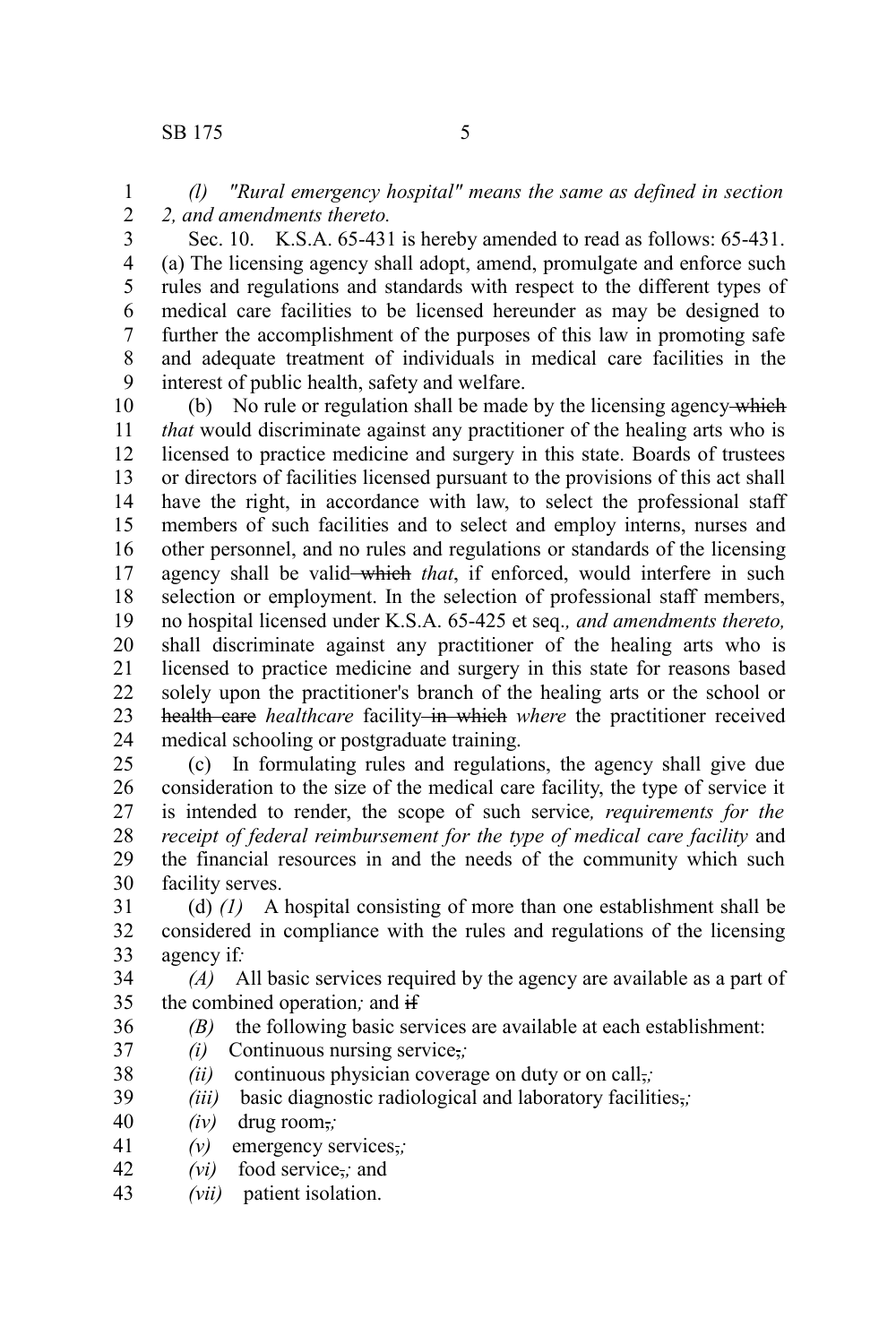*(l) "Rural emergency hospital" means the same as defined in section 2, and amendments thereto.* 1 2

3

Sec. 10. K.S.A. 65-431 is hereby amended to read as follows: 65-431. (a) The licensing agency shall adopt, amend, promulgate and enforce such rules and regulations and standards with respect to the different types of medical care facilities to be licensed hereunder as may be designed to further the accomplishment of the purposes of this law in promoting safe and adequate treatment of individuals in medical care facilities in the interest of public health, safety and welfare. 4 5 6 7 8 9

(b) No rule or regulation shall be made by the licensing agency which *that* would discriminate against any practitioner of the healing arts who is licensed to practice medicine and surgery in this state. Boards of trustees or directors of facilities licensed pursuant to the provisions of this act shall have the right, in accordance with law, to select the professional staff members of such facilities and to select and employ interns, nurses and other personnel, and no rules and regulations or standards of the licensing agency shall be valid which that, if enforced, would interfere in such selection or employment. In the selection of professional staff members, no hospital licensed under K.S.A. 65-425 et seq.*, and amendments thereto,* shall discriminate against any practitioner of the healing arts who is licensed to practice medicine and surgery in this state for reasons based solely upon the practitioner's branch of the healing arts or the school or health care *healthcare* facility in which where the practitioner received medical schooling or postgraduate training. 10 11 12 13 14 15 16 17 18 19 20 21 22 23 24

(c) In formulating rules and regulations, the agency shall give due consideration to the size of the medical care facility, the type of service it is intended to render, the scope of such service*, requirements for the receipt of federal reimbursement for the type of medical care facility* and the financial resources in and the needs of the community which such facility serves. 25 26 27 28 29 30

(d) *(1)* A hospital consisting of more than one establishment shall be considered in compliance with the rules and regulations of the licensing agency if*:* 31 32 33

*(A)* All basic services required by the agency are available as a part of the combined operation*;* and if 34 35

- *(B)* the following basic services are available at each establishment:
- *(i)* Continuous nursing service,*;*
- *(ii)* continuous physician coverage on duty or on call,; 38
- *(iii)* basic diagnostic radiological and laboratory facilities,*;* 39
- *(iv)* drug room,*;* 40

36 37

- *(v)* emergency services,*;* 41
- *(vi)* food service,*;* and 42
- *(vii)* patient isolation. 43